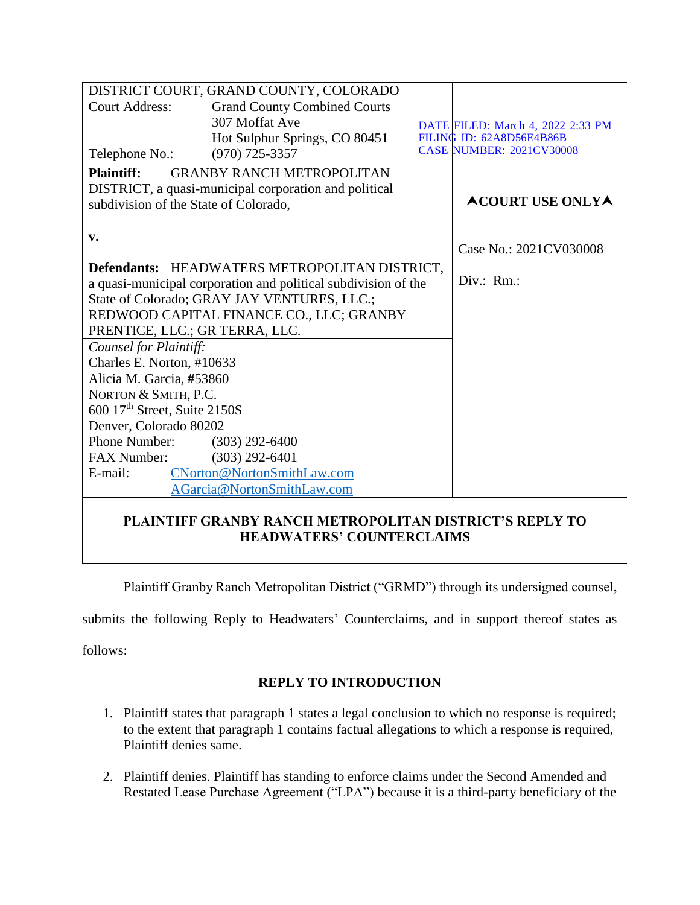| DISTRICT COURT, GRAND COUNTY, COLORADO                         |                                     |  |                                   |
|----------------------------------------------------------------|-------------------------------------|--|-----------------------------------|
| <b>Court Address:</b>                                          | <b>Grand County Combined Courts</b> |  |                                   |
|                                                                | 307 Moffat Ave                      |  | DATE FILED: March 4, 2022 2:33 PM |
|                                                                | Hot Sulphur Springs, CO 80451       |  | FILING ID: 62A8D56E4B86B          |
| Telephone No.:                                                 | $(970)$ 725-3357                    |  | <b>CASE NUMBER: 2021CV30008</b>   |
| <b>Plaintiff:</b>                                              | <b>GRANBY RANCH METROPOLITAN</b>    |  |                                   |
| DISTRICT, a quasi-municipal corporation and political          |                                     |  |                                   |
| subdivision of the State of Colorado,                          |                                     |  | <b>ACOURT USE ONLYA</b>           |
|                                                                |                                     |  |                                   |
| v.                                                             |                                     |  |                                   |
|                                                                |                                     |  | Case No.: 2021CV030008            |
| Defendants: HEADWATERS METROPOLITAN DISTRICT,                  |                                     |  |                                   |
| a quasi-municipal corporation and political subdivision of the |                                     |  | $Div: Rm$ .:                      |
| State of Colorado; GRAY JAY VENTURES, LLC.;                    |                                     |  |                                   |
| REDWOOD CAPITAL FINANCE CO., LLC; GRANBY                       |                                     |  |                                   |
| PRENTICE, LLC.; GR TERRA, LLC.                                 |                                     |  |                                   |
| Counsel for Plaintiff:                                         |                                     |  |                                   |
| Charles E. Norton, #10633                                      |                                     |  |                                   |
| Alicia M. Garcia, #53860                                       |                                     |  |                                   |
| NORTON & SMITH, P.C.                                           |                                     |  |                                   |
| 600 17 <sup>th</sup> Street, Suite 2150S                       |                                     |  |                                   |
| Denver, Colorado 80202                                         |                                     |  |                                   |
| Phone Number:                                                  | $(303)$ 292-6400                    |  |                                   |
| <b>FAX Number:</b>                                             | $(303)$ 292-6401                    |  |                                   |
| E-mail:                                                        | CNorton@NortonSmithLaw.com          |  |                                   |
| AGarcia@NortonSmithLaw.com                                     |                                     |  |                                   |
| <b>PLAINTIFF GRANBY RANCH METROPOLITAN DISTRICT'S REPLY TO</b> |                                     |  |                                   |

# **HEADWATERS' COUNTERCLAIMS**

Plaintiff Granby Ranch Metropolitan District ("GRMD") through its undersigned counsel,

submits the following Reply to Headwaters' Counterclaims, and in support thereof states as

follows:

## **REPLY TO INTRODUCTION**

- 1. Plaintiff states that paragraph 1 states a legal conclusion to which no response is required; to the extent that paragraph 1 contains factual allegations to which a response is required, Plaintiff denies same.
- 2. Plaintiff denies. Plaintiff has standing to enforce claims under the Second Amended and Restated Lease Purchase Agreement ("LPA") because it is a third-party beneficiary of the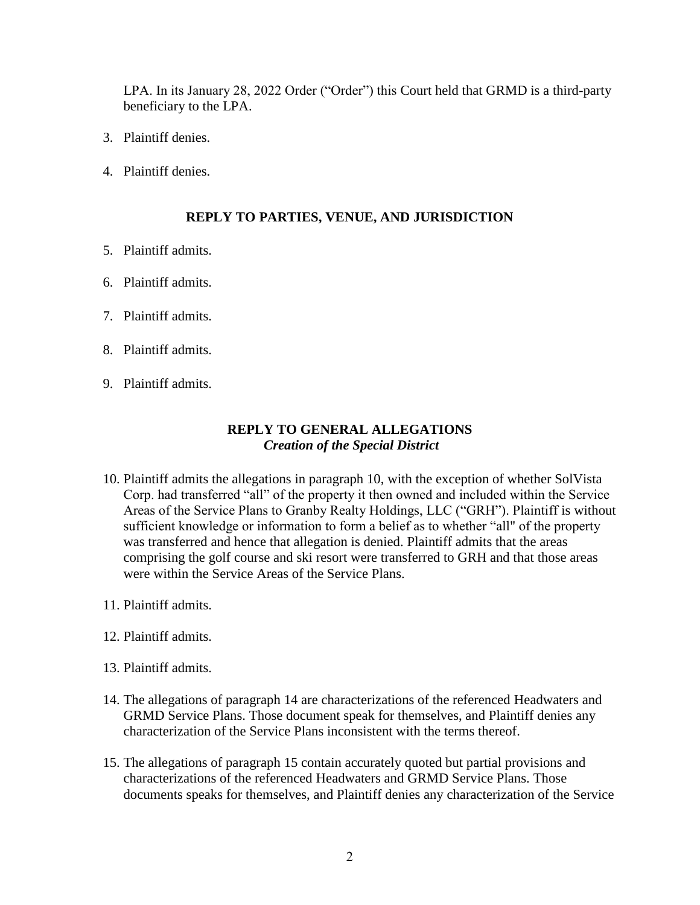LPA. In its January 28, 2022 Order ("Order") this Court held that GRMD is a third-party beneficiary to the LPA.

- 3. Plaintiff denies.
- 4. Plaintiff denies.

#### **REPLY TO PARTIES, VENUE, AND JURISDICTION**

- 5. Plaintiff admits.
- 6. Plaintiff admits.
- 7. Plaintiff admits.
- 8. Plaintiff admits.
- 9. Plaintiff admits.

#### **REPLY TO GENERAL ALLEGATIONS** *Creation of the Special District*

- 10. Plaintiff admits the allegations in paragraph 10, with the exception of whether SolVista Corp. had transferred "all" of the property it then owned and included within the Service Areas of the Service Plans to Granby Realty Holdings, LLC ("GRH"). Plaintiff is without sufficient knowledge or information to form a belief as to whether "all" of the property was transferred and hence that allegation is denied. Plaintiff admits that the areas comprising the golf course and ski resort were transferred to GRH and that those areas were within the Service Areas of the Service Plans.
- 11. Plaintiff admits.
- 12. Plaintiff admits.
- 13. Plaintiff admits.
- 14. The allegations of paragraph 14 are characterizations of the referenced Headwaters and GRMD Service Plans. Those document speak for themselves, and Plaintiff denies any characterization of the Service Plans inconsistent with the terms thereof.
- 15. The allegations of paragraph 15 contain accurately quoted but partial provisions and characterizations of the referenced Headwaters and GRMD Service Plans. Those documents speaks for themselves, and Plaintiff denies any characterization of the Service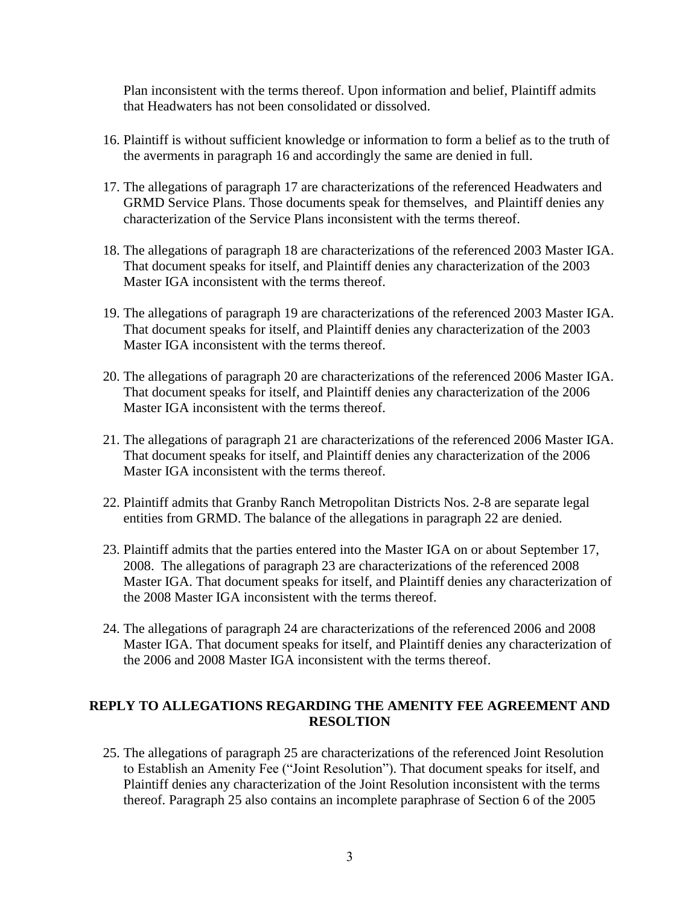Plan inconsistent with the terms thereof. Upon information and belief, Plaintiff admits that Headwaters has not been consolidated or dissolved.

- 16. Plaintiff is without sufficient knowledge or information to form a belief as to the truth of the averments in paragraph 16 and accordingly the same are denied in full.
- 17. The allegations of paragraph 17 are characterizations of the referenced Headwaters and GRMD Service Plans. Those documents speak for themselves, and Plaintiff denies any characterization of the Service Plans inconsistent with the terms thereof.
- 18. The allegations of paragraph 18 are characterizations of the referenced 2003 Master IGA. That document speaks for itself, and Plaintiff denies any characterization of the 2003 Master IGA inconsistent with the terms thereof.
- 19. The allegations of paragraph 19 are characterizations of the referenced 2003 Master IGA. That document speaks for itself, and Plaintiff denies any characterization of the 2003 Master IGA inconsistent with the terms thereof.
- 20. The allegations of paragraph 20 are characterizations of the referenced 2006 Master IGA. That document speaks for itself, and Plaintiff denies any characterization of the 2006 Master IGA inconsistent with the terms thereof.
- 21. The allegations of paragraph 21 are characterizations of the referenced 2006 Master IGA. That document speaks for itself, and Plaintiff denies any characterization of the 2006 Master IGA inconsistent with the terms thereof.
- 22. Plaintiff admits that Granby Ranch Metropolitan Districts Nos. 2-8 are separate legal entities from GRMD. The balance of the allegations in paragraph 22 are denied.
- 23. Plaintiff admits that the parties entered into the Master IGA on or about September 17, 2008. The allegations of paragraph 23 are characterizations of the referenced 2008 Master IGA. That document speaks for itself, and Plaintiff denies any characterization of the 2008 Master IGA inconsistent with the terms thereof.
- 24. The allegations of paragraph 24 are characterizations of the referenced 2006 and 2008 Master IGA. That document speaks for itself, and Plaintiff denies any characterization of the 2006 and 2008 Master IGA inconsistent with the terms thereof.

## **REPLY TO ALLEGATIONS REGARDING THE AMENITY FEE AGREEMENT AND RESOLTION**

25. The allegations of paragraph 25 are characterizations of the referenced Joint Resolution to Establish an Amenity Fee ("Joint Resolution"). That document speaks for itself, and Plaintiff denies any characterization of the Joint Resolution inconsistent with the terms thereof. Paragraph 25 also contains an incomplete paraphrase of Section 6 of the 2005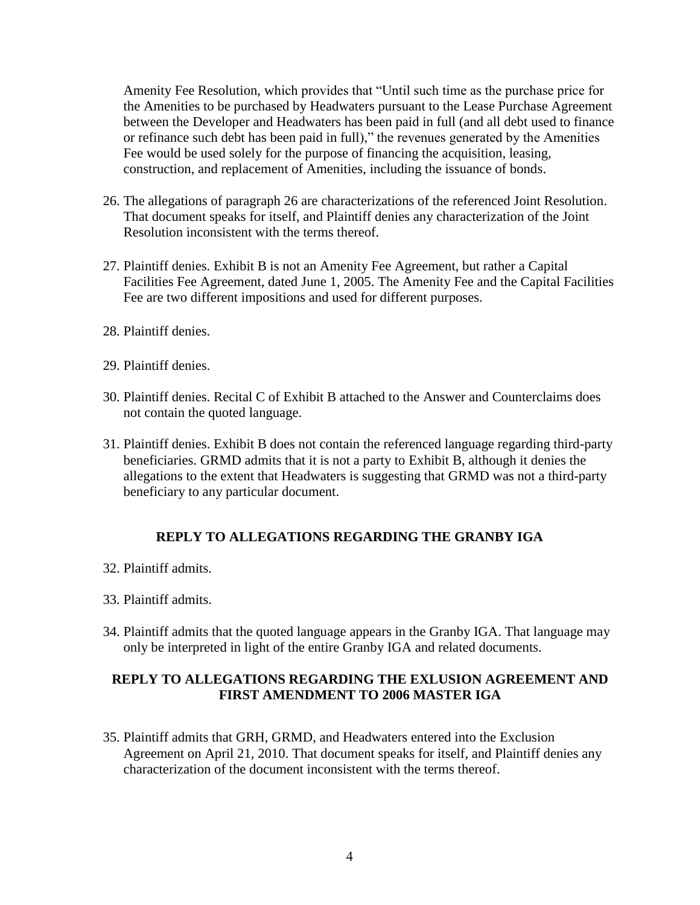Amenity Fee Resolution, which provides that "Until such time as the purchase price for the Amenities to be purchased by Headwaters pursuant to the Lease Purchase Agreement between the Developer and Headwaters has been paid in full (and all debt used to finance or refinance such debt has been paid in full)," the revenues generated by the Amenities Fee would be used solely for the purpose of financing the acquisition, leasing, construction, and replacement of Amenities, including the issuance of bonds.

- 26. The allegations of paragraph 26 are characterizations of the referenced Joint Resolution. That document speaks for itself, and Plaintiff denies any characterization of the Joint Resolution inconsistent with the terms thereof.
- 27. Plaintiff denies. Exhibit B is not an Amenity Fee Agreement, but rather a Capital Facilities Fee Agreement, dated June 1, 2005. The Amenity Fee and the Capital Facilities Fee are two different impositions and used for different purposes.
- 28. Plaintiff denies.
- 29. Plaintiff denies.
- 30. Plaintiff denies. Recital C of Exhibit B attached to the Answer and Counterclaims does not contain the quoted language.
- 31. Plaintiff denies. Exhibit B does not contain the referenced language regarding third-party beneficiaries. GRMD admits that it is not a party to Exhibit B, although it denies the allegations to the extent that Headwaters is suggesting that GRMD was not a third-party beneficiary to any particular document.

## **REPLY TO ALLEGATIONS REGARDING THE GRANBY IGA**

- 32. Plaintiff admits.
- 33. Plaintiff admits.
- 34. Plaintiff admits that the quoted language appears in the Granby IGA. That language may only be interpreted in light of the entire Granby IGA and related documents.

## **REPLY TO ALLEGATIONS REGARDING THE EXLUSION AGREEMENT AND FIRST AMENDMENT TO 2006 MASTER IGA**

35. Plaintiff admits that GRH, GRMD, and Headwaters entered into the Exclusion Agreement on April 21, 2010. That document speaks for itself, and Plaintiff denies any characterization of the document inconsistent with the terms thereof.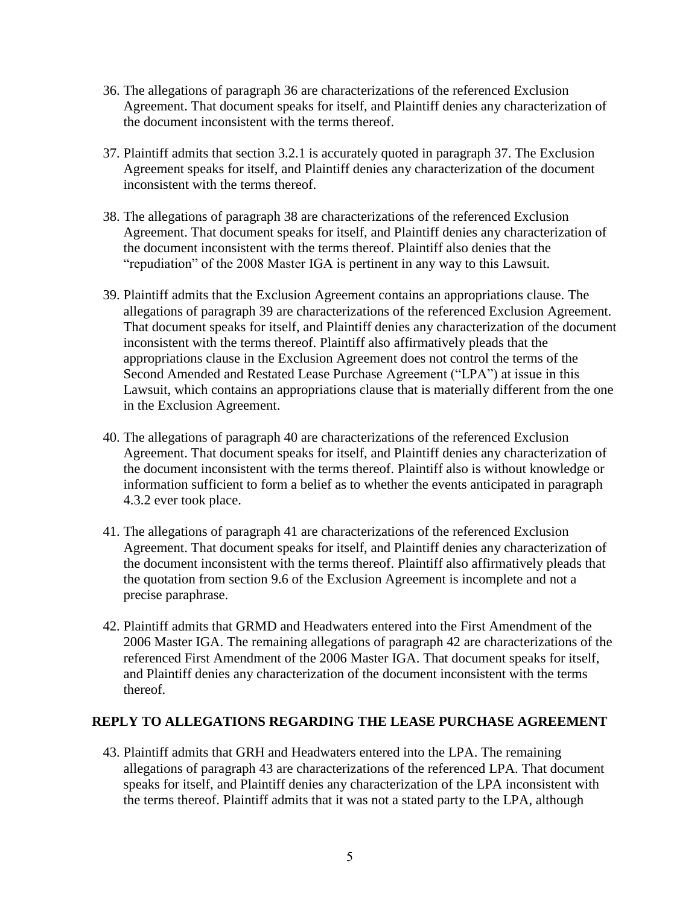- 36. The allegations of paragraph 36 are characterizations of the referenced Exclusion Agreement. That document speaks for itself, and Plaintiff denies any characterization of the document inconsistent with the terms thereof.
- 37. Plaintiff admits that section 3.2.1 is accurately quoted in paragraph 37. The Exclusion Agreement speaks for itself, and Plaintiff denies any characterization of the document inconsistent with the terms thereof.
- 38. The allegations of paragraph 38 are characterizations of the referenced Exclusion Agreement. That document speaks for itself, and Plaintiff denies any characterization of the document inconsistent with the terms thereof. Plaintiff also denies that the "repudiation" of the 2008 Master IGA is pertinent in any way to this Lawsuit.
- 39. Plaintiff admits that the Exclusion Agreement contains an appropriations clause. The allegations of paragraph 39 are characterizations of the referenced Exclusion Agreement. That document speaks for itself, and Plaintiff denies any characterization of the document inconsistent with the terms thereof. Plaintiff also affirmatively pleads that the appropriations clause in the Exclusion Agreement does not control the terms of the Second Amended and Restated Lease Purchase Agreement ("LPA") at issue in this Lawsuit, which contains an appropriations clause that is materially different from the one in the Exclusion Agreement.
- 40. The allegations of paragraph 40 are characterizations of the referenced Exclusion Agreement. That document speaks for itself, and Plaintiff denies any characterization of the document inconsistent with the terms thereof. Plaintiff also is without knowledge or information sufficient to form a belief as to whether the events anticipated in paragraph 4.3.2 ever took place.
- 41. The allegations of paragraph 41 are characterizations of the referenced Exclusion Agreement. That document speaks for itself, and Plaintiff denies any characterization of the document inconsistent with the terms thereof. Plaintiff also affirmatively pleads that the quotation from section 9.6 of the Exclusion Agreement is incomplete and not a precise paraphrase.
- 42. Plaintiff admits that GRMD and Headwaters entered into the First Amendment of the 2006 Master IGA. The remaining allegations of paragraph 42 are characterizations of the referenced First Amendment of the 2006 Master IGA. That document speaks for itself, and Plaintiff denies any characterization of the document inconsistent with the terms thereof.

#### **REPLY TO ALLEGATIONS REGARDING THE LEASE PURCHASE AGREEMENT**

43. Plaintiff admits that GRH and Headwaters entered into the LPA. The remaining allegations of paragraph 43 are characterizations of the referenced LPA. That document speaks for itself, and Plaintiff denies any characterization of the LPA inconsistent with the terms thereof. Plaintiff admits that it was not a stated party to the LPA, although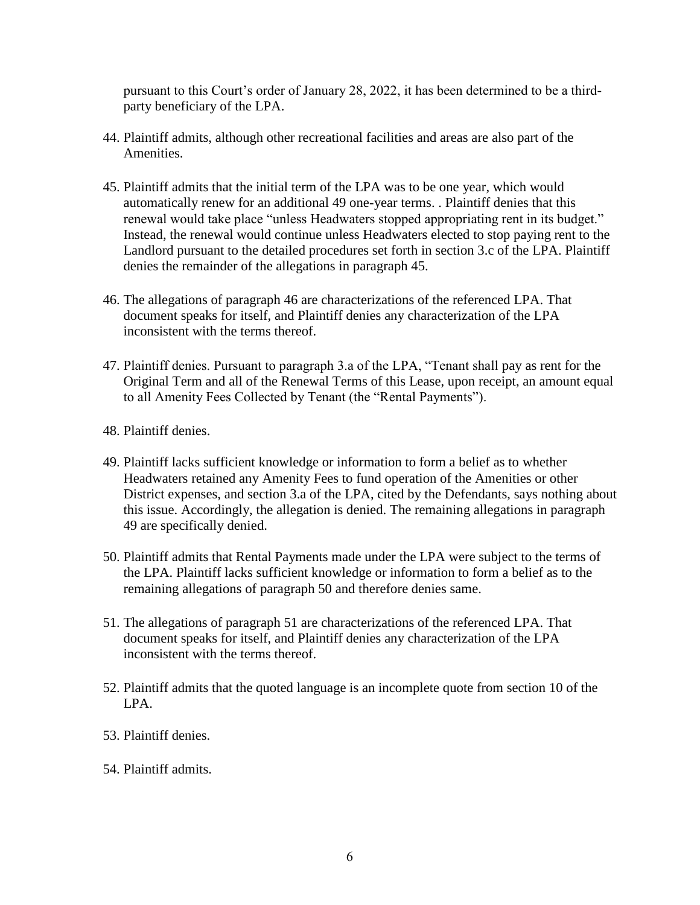pursuant to this Court's order of January 28, 2022, it has been determined to be a thirdparty beneficiary of the LPA.

- 44. Plaintiff admits, although other recreational facilities and areas are also part of the Amenities.
- 45. Plaintiff admits that the initial term of the LPA was to be one year, which would automatically renew for an additional 49 one-year terms. . Plaintiff denies that this renewal would take place "unless Headwaters stopped appropriating rent in its budget." Instead, the renewal would continue unless Headwaters elected to stop paying rent to the Landlord pursuant to the detailed procedures set forth in section 3.c of the LPA. Plaintiff denies the remainder of the allegations in paragraph 45.
- 46. The allegations of paragraph 46 are characterizations of the referenced LPA. That document speaks for itself, and Plaintiff denies any characterization of the LPA inconsistent with the terms thereof.
- 47. Plaintiff denies. Pursuant to paragraph 3.a of the LPA, "Tenant shall pay as rent for the Original Term and all of the Renewal Terms of this Lease, upon receipt, an amount equal to all Amenity Fees Collected by Tenant (the "Rental Payments").
- 48. Plaintiff denies.
- 49. Plaintiff lacks sufficient knowledge or information to form a belief as to whether Headwaters retained any Amenity Fees to fund operation of the Amenities or other District expenses, and section 3.a of the LPA, cited by the Defendants, says nothing about this issue. Accordingly, the allegation is denied. The remaining allegations in paragraph 49 are specifically denied.
- 50. Plaintiff admits that Rental Payments made under the LPA were subject to the terms of the LPA. Plaintiff lacks sufficient knowledge or information to form a belief as to the remaining allegations of paragraph 50 and therefore denies same.
- 51. The allegations of paragraph 51 are characterizations of the referenced LPA. That document speaks for itself, and Plaintiff denies any characterization of the LPA inconsistent with the terms thereof.
- 52. Plaintiff admits that the quoted language is an incomplete quote from section 10 of the LPA.
- 53. Plaintiff denies.
- 54. Plaintiff admits.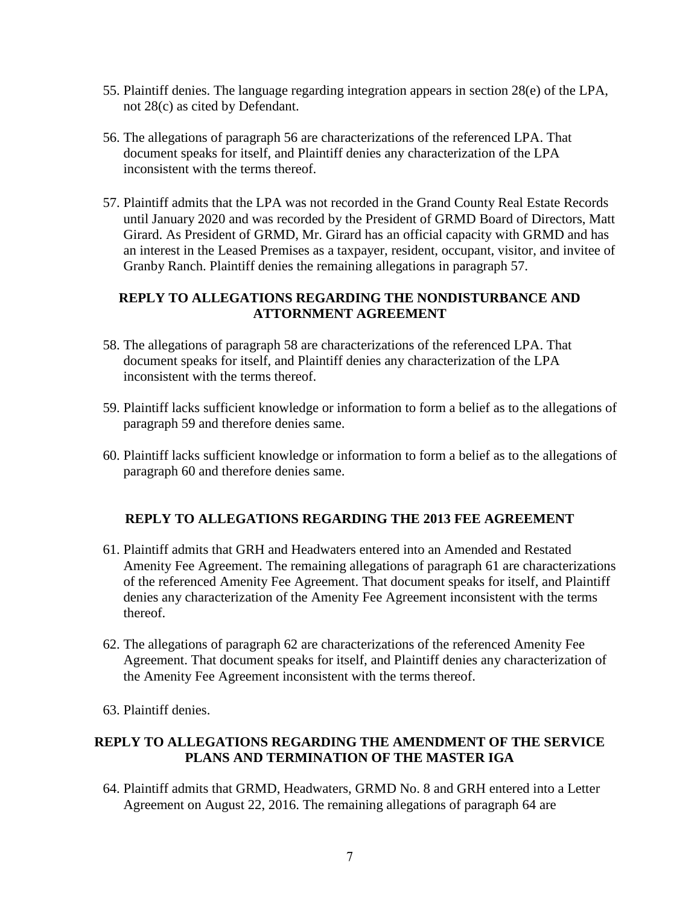- 55. Plaintiff denies. The language regarding integration appears in section 28(e) of the LPA, not 28(c) as cited by Defendant.
- 56. The allegations of paragraph 56 are characterizations of the referenced LPA. That document speaks for itself, and Plaintiff denies any characterization of the LPA inconsistent with the terms thereof.
- 57. Plaintiff admits that the LPA was not recorded in the Grand County Real Estate Records until January 2020 and was recorded by the President of GRMD Board of Directors, Matt Girard. As President of GRMD, Mr. Girard has an official capacity with GRMD and has an interest in the Leased Premises as a taxpayer, resident, occupant, visitor, and invitee of Granby Ranch. Plaintiff denies the remaining allegations in paragraph 57.

#### **REPLY TO ALLEGATIONS REGARDING THE NONDISTURBANCE AND ATTORNMENT AGREEMENT**

- 58. The allegations of paragraph 58 are characterizations of the referenced LPA. That document speaks for itself, and Plaintiff denies any characterization of the LPA inconsistent with the terms thereof.
- 59. Plaintiff lacks sufficient knowledge or information to form a belief as to the allegations of paragraph 59 and therefore denies same.
- 60. Plaintiff lacks sufficient knowledge or information to form a belief as to the allegations of paragraph 60 and therefore denies same.

## **REPLY TO ALLEGATIONS REGARDING THE 2013 FEE AGREEMENT**

- 61. Plaintiff admits that GRH and Headwaters entered into an Amended and Restated Amenity Fee Agreement. The remaining allegations of paragraph 61 are characterizations of the referenced Amenity Fee Agreement. That document speaks for itself, and Plaintiff denies any characterization of the Amenity Fee Agreement inconsistent with the terms thereof.
- 62. The allegations of paragraph 62 are characterizations of the referenced Amenity Fee Agreement. That document speaks for itself, and Plaintiff denies any characterization of the Amenity Fee Agreement inconsistent with the terms thereof.
- 63. Plaintiff denies.

## **REPLY TO ALLEGATIONS REGARDING THE AMENDMENT OF THE SERVICE PLANS AND TERMINATION OF THE MASTER IGA**

64. Plaintiff admits that GRMD, Headwaters, GRMD No. 8 and GRH entered into a Letter Agreement on August 22, 2016. The remaining allegations of paragraph 64 are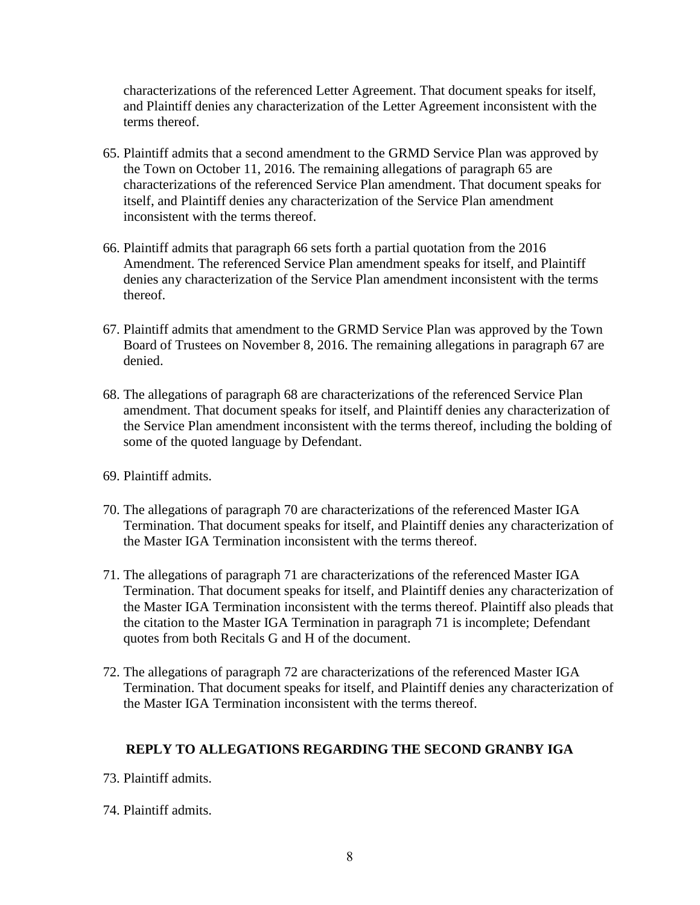characterizations of the referenced Letter Agreement. That document speaks for itself, and Plaintiff denies any characterization of the Letter Agreement inconsistent with the terms thereof.

- 65. Plaintiff admits that a second amendment to the GRMD Service Plan was approved by the Town on October 11, 2016. The remaining allegations of paragraph 65 are characterizations of the referenced Service Plan amendment. That document speaks for itself, and Plaintiff denies any characterization of the Service Plan amendment inconsistent with the terms thereof.
- 66. Plaintiff admits that paragraph 66 sets forth a partial quotation from the 2016 Amendment. The referenced Service Plan amendment speaks for itself, and Plaintiff denies any characterization of the Service Plan amendment inconsistent with the terms thereof.
- 67. Plaintiff admits that amendment to the GRMD Service Plan was approved by the Town Board of Trustees on November 8, 2016. The remaining allegations in paragraph 67 are denied.
- 68. The allegations of paragraph 68 are characterizations of the referenced Service Plan amendment. That document speaks for itself, and Plaintiff denies any characterization of the Service Plan amendment inconsistent with the terms thereof, including the bolding of some of the quoted language by Defendant.
- 69. Plaintiff admits.
- 70. The allegations of paragraph 70 are characterizations of the referenced Master IGA Termination. That document speaks for itself, and Plaintiff denies any characterization of the Master IGA Termination inconsistent with the terms thereof.
- 71. The allegations of paragraph 71 are characterizations of the referenced Master IGA Termination. That document speaks for itself, and Plaintiff denies any characterization of the Master IGA Termination inconsistent with the terms thereof. Plaintiff also pleads that the citation to the Master IGA Termination in paragraph 71 is incomplete; Defendant quotes from both Recitals G and H of the document.
- 72. The allegations of paragraph 72 are characterizations of the referenced Master IGA Termination. That document speaks for itself, and Plaintiff denies any characterization of the Master IGA Termination inconsistent with the terms thereof.

## **REPLY TO ALLEGATIONS REGARDING THE SECOND GRANBY IGA**

- 73. Plaintiff admits.
- 74. Plaintiff admits.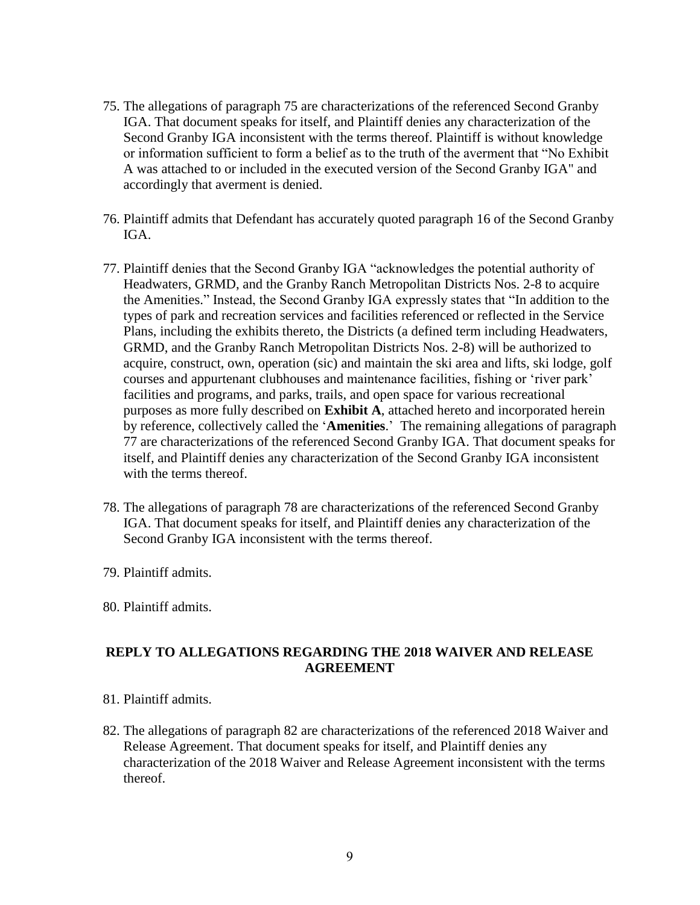- 75. The allegations of paragraph 75 are characterizations of the referenced Second Granby IGA. That document speaks for itself, and Plaintiff denies any characterization of the Second Granby IGA inconsistent with the terms thereof. Plaintiff is without knowledge or information sufficient to form a belief as to the truth of the averment that "No Exhibit A was attached to or included in the executed version of the Second Granby IGA" and accordingly that averment is denied.
- 76. Plaintiff admits that Defendant has accurately quoted paragraph 16 of the Second Granby IGA.
- 77. Plaintiff denies that the Second Granby IGA "acknowledges the potential authority of Headwaters, GRMD, and the Granby Ranch Metropolitan Districts Nos. 2-8 to acquire the Amenities." Instead, the Second Granby IGA expressly states that "In addition to the types of park and recreation services and facilities referenced or reflected in the Service Plans, including the exhibits thereto, the Districts (a defined term including Headwaters, GRMD, and the Granby Ranch Metropolitan Districts Nos. 2-8) will be authorized to acquire, construct, own, operation (sic) and maintain the ski area and lifts, ski lodge, golf courses and appurtenant clubhouses and maintenance facilities, fishing or 'river park' facilities and programs, and parks, trails, and open space for various recreational purposes as more fully described on **Exhibit A**, attached hereto and incorporated herein by reference, collectively called the '**Amenities**.' The remaining allegations of paragraph 77 are characterizations of the referenced Second Granby IGA. That document speaks for itself, and Plaintiff denies any characterization of the Second Granby IGA inconsistent with the terms thereof.
- 78. The allegations of paragraph 78 are characterizations of the referenced Second Granby IGA. That document speaks for itself, and Plaintiff denies any characterization of the Second Granby IGA inconsistent with the terms thereof.
- 79. Plaintiff admits.
- 80. Plaintiff admits.

## **REPLY TO ALLEGATIONS REGARDING THE 2018 WAIVER AND RELEASE AGREEMENT**

- 81. Plaintiff admits.
- 82. The allegations of paragraph 82 are characterizations of the referenced 2018 Waiver and Release Agreement. That document speaks for itself, and Plaintiff denies any characterization of the 2018 Waiver and Release Agreement inconsistent with the terms thereof.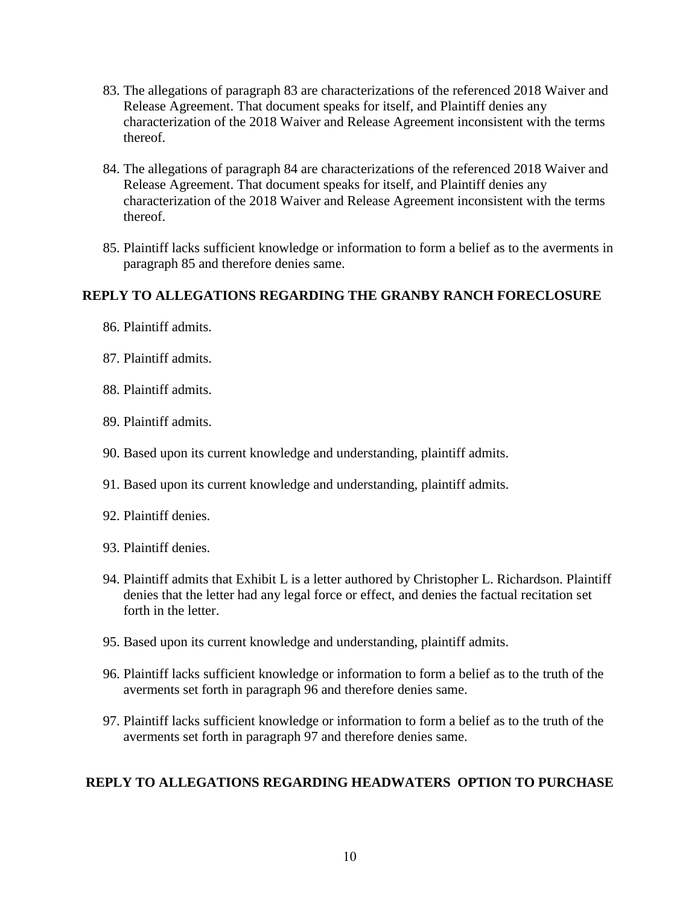- 83. The allegations of paragraph 83 are characterizations of the referenced 2018 Waiver and Release Agreement. That document speaks for itself, and Plaintiff denies any characterization of the 2018 Waiver and Release Agreement inconsistent with the terms thereof.
- 84. The allegations of paragraph 84 are characterizations of the referenced 2018 Waiver and Release Agreement. That document speaks for itself, and Plaintiff denies any characterization of the 2018 Waiver and Release Agreement inconsistent with the terms thereof.
- 85. Plaintiff lacks sufficient knowledge or information to form a belief as to the averments in paragraph 85 and therefore denies same.

## **REPLY TO ALLEGATIONS REGARDING THE GRANBY RANCH FORECLOSURE**

- 86. Plaintiff admits.
- 87. Plaintiff admits.
- 88. Plaintiff admits.
- 89. Plaintiff admits.
- 90. Based upon its current knowledge and understanding, plaintiff admits.
- 91. Based upon its current knowledge and understanding, plaintiff admits.
- 92. Plaintiff denies.
- 93. Plaintiff denies.
- 94. Plaintiff admits that Exhibit L is a letter authored by Christopher L. Richardson. Plaintiff denies that the letter had any legal force or effect, and denies the factual recitation set forth in the letter.
- 95. Based upon its current knowledge and understanding, plaintiff admits.
- 96. Plaintiff lacks sufficient knowledge or information to form a belief as to the truth of the averments set forth in paragraph 96 and therefore denies same.
- 97. Plaintiff lacks sufficient knowledge or information to form a belief as to the truth of the averments set forth in paragraph 97 and therefore denies same.

## **REPLY TO ALLEGATIONS REGARDING HEADWATERS OPTION TO PURCHASE**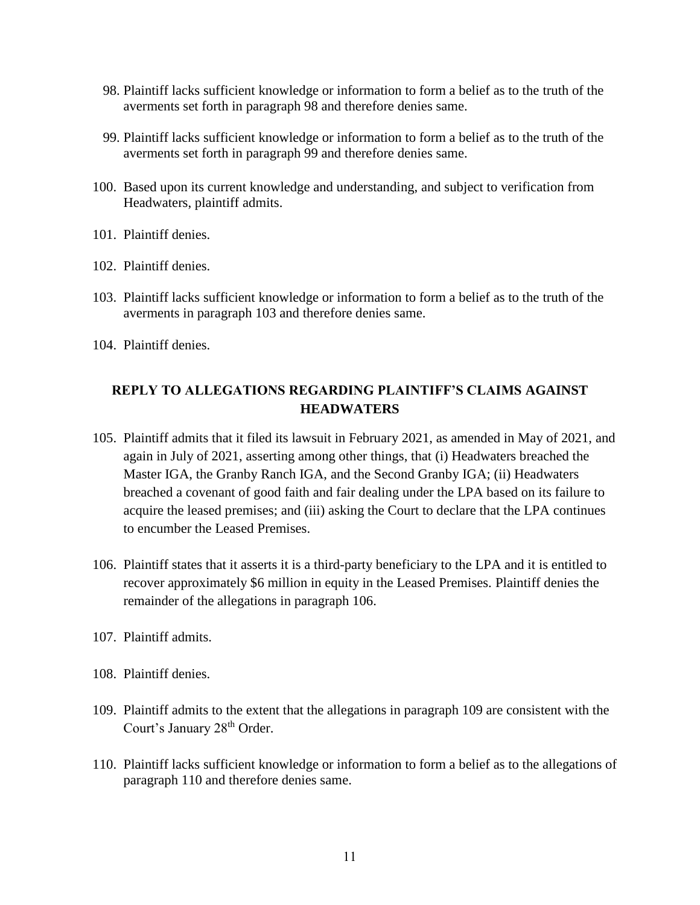- 98. Plaintiff lacks sufficient knowledge or information to form a belief as to the truth of the averments set forth in paragraph 98 and therefore denies same.
- 99. Plaintiff lacks sufficient knowledge or information to form a belief as to the truth of the averments set forth in paragraph 99 and therefore denies same.
- 100. Based upon its current knowledge and understanding, and subject to verification from Headwaters, plaintiff admits.
- 101. Plaintiff denies.
- 102. Plaintiff denies.
- 103. Plaintiff lacks sufficient knowledge or information to form a belief as to the truth of the averments in paragraph 103 and therefore denies same.
- 104. Plaintiff denies.

## **REPLY TO ALLEGATIONS REGARDING PLAINTIFF'S CLAIMS AGAINST HEADWATERS**

- 105. Plaintiff admits that it filed its lawsuit in February 2021, as amended in May of 2021, and again in July of 2021, asserting among other things, that (i) Headwaters breached the Master IGA, the Granby Ranch IGA, and the Second Granby IGA; (ii) Headwaters breached a covenant of good faith and fair dealing under the LPA based on its failure to acquire the leased premises; and (iii) asking the Court to declare that the LPA continues to encumber the Leased Premises.
- 106. Plaintiff states that it asserts it is a third-party beneficiary to the LPA and it is entitled to recover approximately \$6 million in equity in the Leased Premises. Plaintiff denies the remainder of the allegations in paragraph 106.
- 107. Plaintiff admits.
- 108. Plaintiff denies.
- 109. Plaintiff admits to the extent that the allegations in paragraph 109 are consistent with the Court's January 28<sup>th</sup> Order.
- 110. Plaintiff lacks sufficient knowledge or information to form a belief as to the allegations of paragraph 110 and therefore denies same.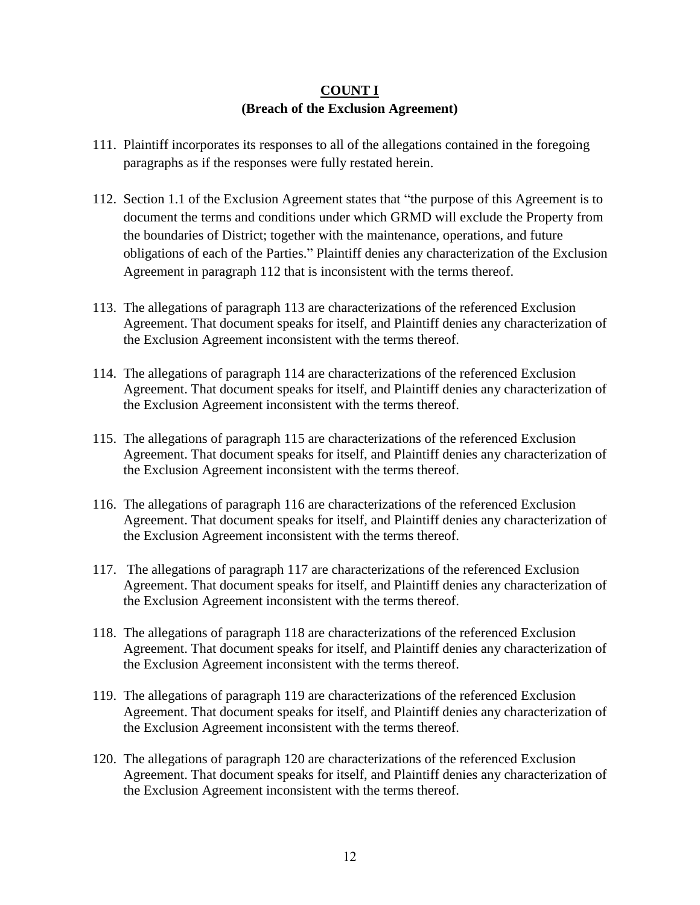## **COUNT I (Breach of the Exclusion Agreement)**

- 111. Plaintiff incorporates its responses to all of the allegations contained in the foregoing paragraphs as if the responses were fully restated herein.
- 112. Section 1.1 of the Exclusion Agreement states that "the purpose of this Agreement is to document the terms and conditions under which GRMD will exclude the Property from the boundaries of District; together with the maintenance, operations, and future obligations of each of the Parties." Plaintiff denies any characterization of the Exclusion Agreement in paragraph 112 that is inconsistent with the terms thereof.
- 113. The allegations of paragraph 113 are characterizations of the referenced Exclusion Agreement. That document speaks for itself, and Plaintiff denies any characterization of the Exclusion Agreement inconsistent with the terms thereof.
- 114. The allegations of paragraph 114 are characterizations of the referenced Exclusion Agreement. That document speaks for itself, and Plaintiff denies any characterization of the Exclusion Agreement inconsistent with the terms thereof.
- 115. The allegations of paragraph 115 are characterizations of the referenced Exclusion Agreement. That document speaks for itself, and Plaintiff denies any characterization of the Exclusion Agreement inconsistent with the terms thereof.
- 116. The allegations of paragraph 116 are characterizations of the referenced Exclusion Agreement. That document speaks for itself, and Plaintiff denies any characterization of the Exclusion Agreement inconsistent with the terms thereof.
- 117. The allegations of paragraph 117 are characterizations of the referenced Exclusion Agreement. That document speaks for itself, and Plaintiff denies any characterization of the Exclusion Agreement inconsistent with the terms thereof.
- 118. The allegations of paragraph 118 are characterizations of the referenced Exclusion Agreement. That document speaks for itself, and Plaintiff denies any characterization of the Exclusion Agreement inconsistent with the terms thereof.
- 119. The allegations of paragraph 119 are characterizations of the referenced Exclusion Agreement. That document speaks for itself, and Plaintiff denies any characterization of the Exclusion Agreement inconsistent with the terms thereof.
- 120. The allegations of paragraph 120 are characterizations of the referenced Exclusion Agreement. That document speaks for itself, and Plaintiff denies any characterization of the Exclusion Agreement inconsistent with the terms thereof.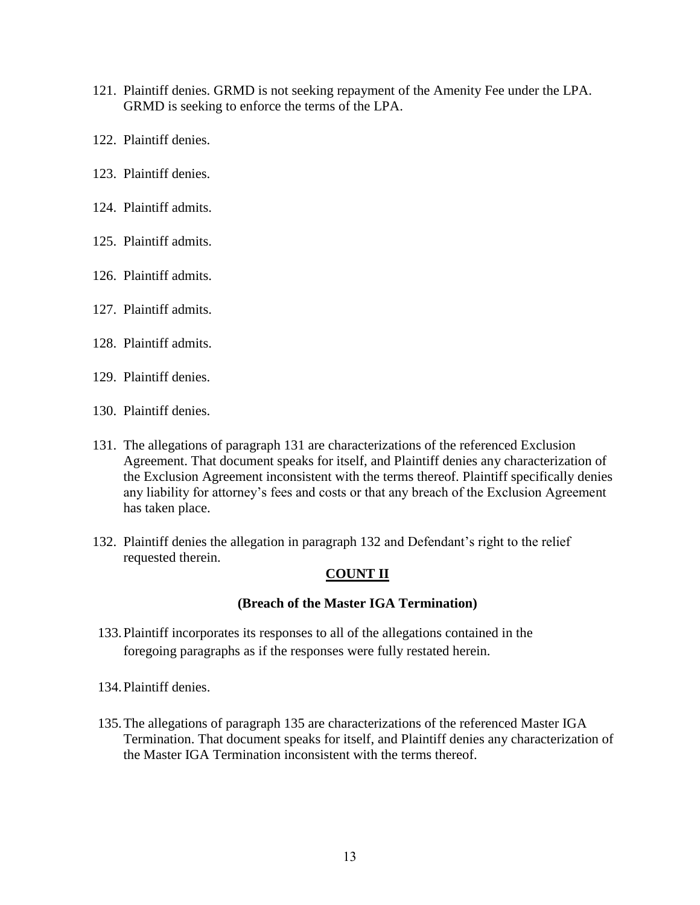- 121. Plaintiff denies. GRMD is not seeking repayment of the Amenity Fee under the LPA. GRMD is seeking to enforce the terms of the LPA.
- 122. Plaintiff denies.
- 123. Plaintiff denies.
- 124. Plaintiff admits.
- 125. Plaintiff admits.
- 126. Plaintiff admits.
- 127. Plaintiff admits.
- 128. Plaintiff admits.
- 129. Plaintiff denies.
- 130. Plaintiff denies.
- 131. The allegations of paragraph 131 are characterizations of the referenced Exclusion Agreement. That document speaks for itself, and Plaintiff denies any characterization of the Exclusion Agreement inconsistent with the terms thereof. Plaintiff specifically denies any liability for attorney's fees and costs or that any breach of the Exclusion Agreement has taken place.
- 132. Plaintiff denies the allegation in paragraph 132 and Defendant's right to the relief requested therein.

## **COUNT II**

#### **(Breach of the Master IGA Termination)**

- 133.Plaintiff incorporates its responses to all of the allegations contained in the foregoing paragraphs as if the responses were fully restated herein.
- 134.Plaintiff denies.
- 135.The allegations of paragraph 135 are characterizations of the referenced Master IGA Termination. That document speaks for itself, and Plaintiff denies any characterization of the Master IGA Termination inconsistent with the terms thereof.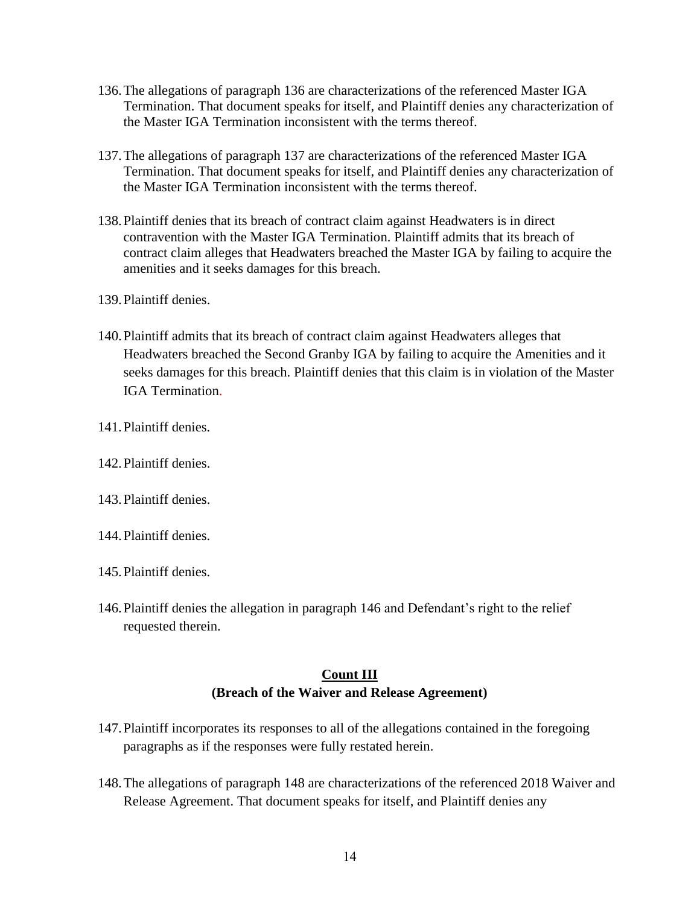- 136.The allegations of paragraph 136 are characterizations of the referenced Master IGA Termination. That document speaks for itself, and Plaintiff denies any characterization of the Master IGA Termination inconsistent with the terms thereof.
- 137.The allegations of paragraph 137 are characterizations of the referenced Master IGA Termination. That document speaks for itself, and Plaintiff denies any characterization of the Master IGA Termination inconsistent with the terms thereof.
- 138.Plaintiff denies that its breach of contract claim against Headwaters is in direct contravention with the Master IGA Termination. Plaintiff admits that its breach of contract claim alleges that Headwaters breached the Master IGA by failing to acquire the amenities and it seeks damages for this breach.
- 139.Plaintiff denies.
- 140.Plaintiff admits that its breach of contract claim against Headwaters alleges that Headwaters breached the Second Granby IGA by failing to acquire the Amenities and it seeks damages for this breach. Plaintiff denies that this claim is in violation of the Master IGA Termination.
- 141.Plaintiff denies.
- 142.Plaintiff denies.
- 143.Plaintiff denies.
- 144.Plaintiff denies.
- 145.Plaintiff denies.
- 146.Plaintiff denies the allegation in paragraph 146 and Defendant's right to the relief requested therein.

#### **Count III (Breach of the Waiver and Release Agreement)**

- 147.Plaintiff incorporates its responses to all of the allegations contained in the foregoing paragraphs as if the responses were fully restated herein.
- 148.The allegations of paragraph 148 are characterizations of the referenced 2018 Waiver and Release Agreement. That document speaks for itself, and Plaintiff denies any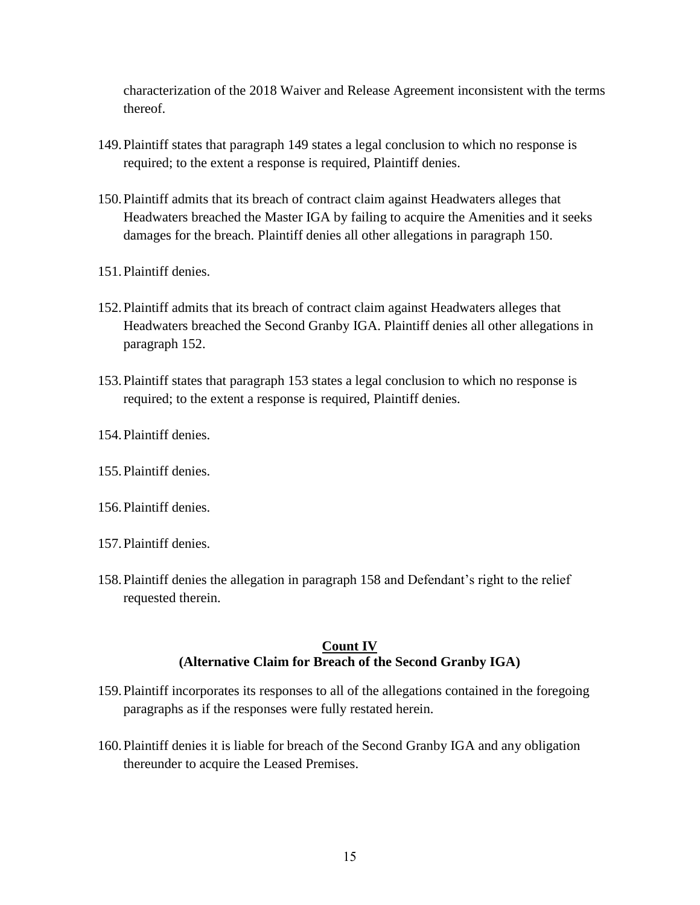characterization of the 2018 Waiver and Release Agreement inconsistent with the terms thereof.

- 149.Plaintiff states that paragraph 149 states a legal conclusion to which no response is required; to the extent a response is required, Plaintiff denies.
- 150.Plaintiff admits that its breach of contract claim against Headwaters alleges that Headwaters breached the Master IGA by failing to acquire the Amenities and it seeks damages for the breach. Plaintiff denies all other allegations in paragraph 150.
- 151.Plaintiff denies.
- 152.Plaintiff admits that its breach of contract claim against Headwaters alleges that Headwaters breached the Second Granby IGA. Plaintiff denies all other allegations in paragraph 152.
- 153.Plaintiff states that paragraph 153 states a legal conclusion to which no response is required; to the extent a response is required, Plaintiff denies.
- 154.Plaintiff denies.
- 155.Plaintiff denies.
- 156.Plaintiff denies.
- 157.Plaintiff denies.
- 158.Plaintiff denies the allegation in paragraph 158 and Defendant's right to the relief requested therein.

## **Count IV (Alternative Claim for Breach of the Second Granby IGA)**

- 159.Plaintiff incorporates its responses to all of the allegations contained in the foregoing paragraphs as if the responses were fully restated herein.
- 160.Plaintiff denies it is liable for breach of the Second Granby IGA and any obligation thereunder to acquire the Leased Premises.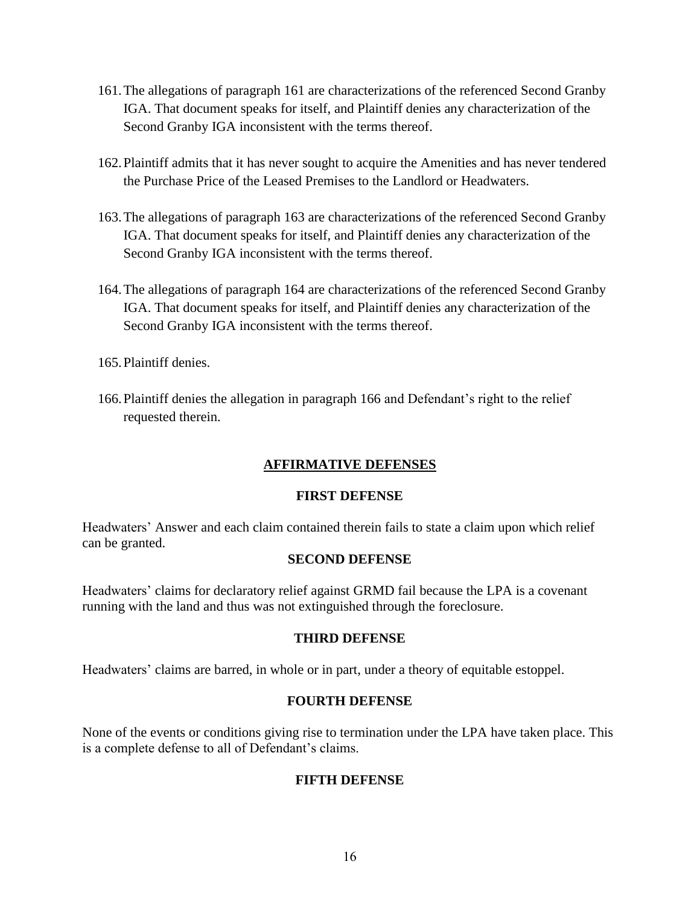- 161.The allegations of paragraph 161 are characterizations of the referenced Second Granby IGA. That document speaks for itself, and Plaintiff denies any characterization of the Second Granby IGA inconsistent with the terms thereof.
- 162.Plaintiff admits that it has never sought to acquire the Amenities and has never tendered the Purchase Price of the Leased Premises to the Landlord or Headwaters.
- 163.The allegations of paragraph 163 are characterizations of the referenced Second Granby IGA. That document speaks for itself, and Plaintiff denies any characterization of the Second Granby IGA inconsistent with the terms thereof.
- 164.The allegations of paragraph 164 are characterizations of the referenced Second Granby IGA. That document speaks for itself, and Plaintiff denies any characterization of the Second Granby IGA inconsistent with the terms thereof.
- 165.Plaintiff denies.
- 166.Plaintiff denies the allegation in paragraph 166 and Defendant's right to the relief requested therein.

## **AFFIRMATIVE DEFENSES**

#### **FIRST DEFENSE**

Headwaters' Answer and each claim contained therein fails to state a claim upon which relief can be granted.

#### **SECOND DEFENSE**

Headwaters' claims for declaratory relief against GRMD fail because the LPA is a covenant running with the land and thus was not extinguished through the foreclosure.

#### **THIRD DEFENSE**

Headwaters' claims are barred, in whole or in part, under a theory of equitable estoppel.

#### **FOURTH DEFENSE**

None of the events or conditions giving rise to termination under the LPA have taken place. This is a complete defense to all of Defendant's claims.

## **FIFTH DEFENSE**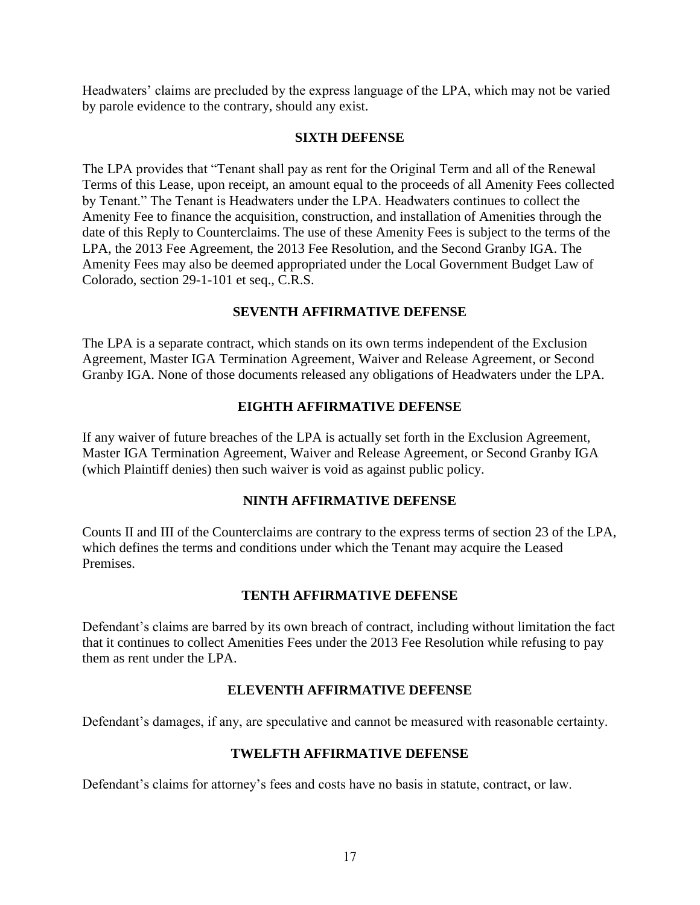Headwaters' claims are precluded by the express language of the LPA, which may not be varied by parole evidence to the contrary, should any exist.

#### **SIXTH DEFENSE**

The LPA provides that "Tenant shall pay as rent for the Original Term and all of the Renewal Terms of this Lease, upon receipt, an amount equal to the proceeds of all Amenity Fees collected by Tenant." The Tenant is Headwaters under the LPA. Headwaters continues to collect the Amenity Fee to finance the acquisition, construction, and installation of Amenities through the date of this Reply to Counterclaims. The use of these Amenity Fees is subject to the terms of the LPA, the 2013 Fee Agreement, the 2013 Fee Resolution, and the Second Granby IGA. The Amenity Fees may also be deemed appropriated under the Local Government Budget Law of Colorado, section 29-1-101 et seq., C.R.S.

## **SEVENTH AFFIRMATIVE DEFENSE**

The LPA is a separate contract, which stands on its own terms independent of the Exclusion Agreement, Master IGA Termination Agreement, Waiver and Release Agreement, or Second Granby IGA. None of those documents released any obligations of Headwaters under the LPA.

## **EIGHTH AFFIRMATIVE DEFENSE**

If any waiver of future breaches of the LPA is actually set forth in the Exclusion Agreement, Master IGA Termination Agreement, Waiver and Release Agreement, or Second Granby IGA (which Plaintiff denies) then such waiver is void as against public policy.

## **NINTH AFFIRMATIVE DEFENSE**

Counts II and III of the Counterclaims are contrary to the express terms of section 23 of the LPA, which defines the terms and conditions under which the Tenant may acquire the Leased Premises.

## **TENTH AFFIRMATIVE DEFENSE**

Defendant's claims are barred by its own breach of contract, including without limitation the fact that it continues to collect Amenities Fees under the 2013 Fee Resolution while refusing to pay them as rent under the LPA.

## **ELEVENTH AFFIRMATIVE DEFENSE**

Defendant's damages, if any, are speculative and cannot be measured with reasonable certainty.

## **TWELFTH AFFIRMATIVE DEFENSE**

Defendant's claims for attorney's fees and costs have no basis in statute, contract, or law.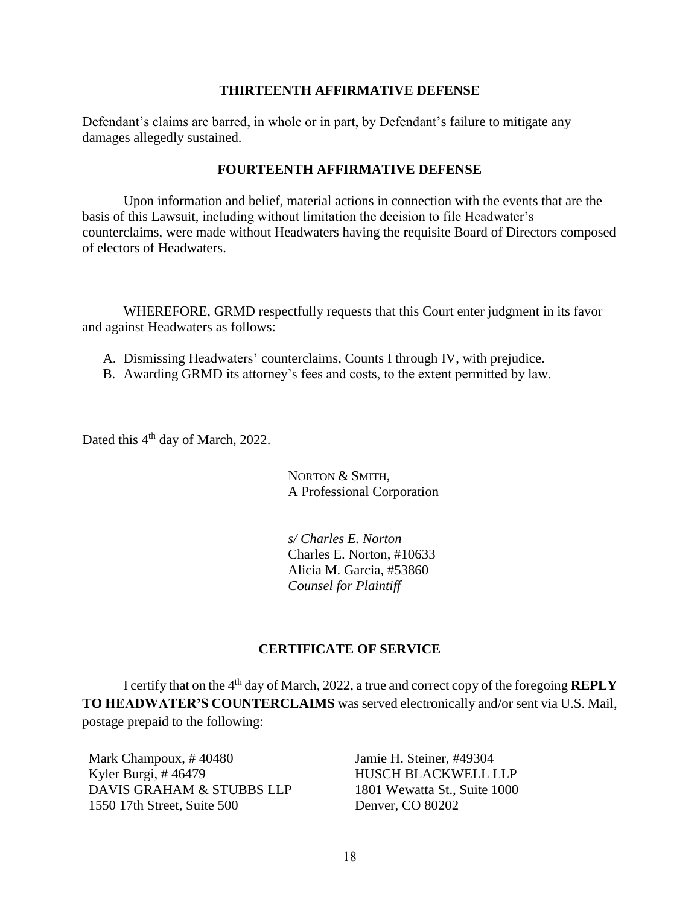#### **THIRTEENTH AFFIRMATIVE DEFENSE**

Defendant's claims are barred, in whole or in part, by Defendant's failure to mitigate any damages allegedly sustained.

#### **FOURTEENTH AFFIRMATIVE DEFENSE**

Upon information and belief, material actions in connection with the events that are the basis of this Lawsuit, including without limitation the decision to file Headwater's counterclaims, were made without Headwaters having the requisite Board of Directors composed of electors of Headwaters.

WHEREFORE, GRMD respectfully requests that this Court enter judgment in its favor and against Headwaters as follows:

- A. Dismissing Headwaters' counterclaims, Counts I through IV, with prejudice.
- B. Awarding GRMD its attorney's fees and costs, to the extent permitted by law.

Dated this 4<sup>th</sup> day of March, 2022.

NORTON & SMITH, A Professional Corporation

*s/ Charles E. Norton* Charles E. Norton, #10633 Alicia M. Garcia, #53860 *Counsel for Plaintiff*

## **CERTIFICATE OF SERVICE**

I certify that on the 4<sup>th</sup> day of March, 2022, a true and correct copy of the foregoing **REPLY TO HEADWATER'S COUNTERCLAIMS** was served electronically and/or sent via U.S. Mail, postage prepaid to the following:

Mark Champoux, # 40480 Kyler Burgi, # 46479 DAVIS GRAHAM & STUBBS LLP 1550 17th Street, Suite 500

Jamie H. Steiner, #49304 HUSCH BLACKWELL LLP 1801 Wewatta St., Suite 1000 Denver, CO 80202